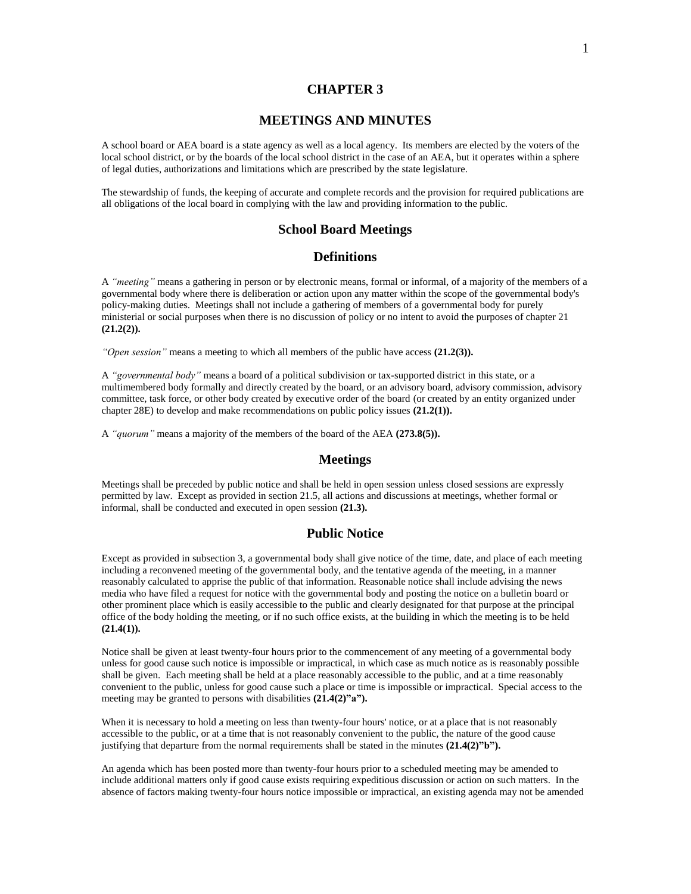#### **CHAPTER 3**

#### **MEETINGS AND MINUTES**

A school board or AEA board is a state agency as well as a local agency. Its members are elected by the voters of the local school district, or by the boards of the local school district in the case of an AEA, but it operates within a sphere of legal duties, authorizations and limitations which are prescribed by the state legislature.

The stewardship of funds, the keeping of accurate and complete records and the provision for required publications are all obligations of the local board in complying with the law and providing information to the public.

# **School Board Meetings**

#### **Definitions**

A *"meeting"* means a gathering in person or by electronic means, formal or informal, of a majority of the members of a governmental body where there is deliberation or action upon any matter within the scope of the governmental body's policy-making duties. Meetings shall not include a gathering of members of a governmental body for purely ministerial or social purposes when there is no discussion of policy or no intent to avoid the purposes of chapter 21 **(21.2(2)).**

*"Open session"* means a meeting to which all members of the public have access **(21.2(3)).**

A *"governmental body"* means a board of a political subdivision or tax-supported district in this state, or a multimembered body formally and directly created by the board, or an advisory board, advisory commission, advisory committee, task force, or other body created by executive order of the board (or created by an entity organized under chapter 28E) to develop and make recommendations on public policy issues **(21.2(1)).**

A *"quorum"* means a majority of the members of the board of the AEA **(273.8(5)).**

#### **Meetings**

Meetings shall be preceded by public notice and shall be held in open session unless closed sessions are expressly permitted by law. Except as provided in section 21.5, all actions and discussions at meetings, whether formal or informal, shall be conducted and executed in open session **(21.3).**

## **Public Notice**

Except as provided in subsection 3, a governmental body shall give notice of the time, date, and place of each meeting including a reconvened meeting of the governmental body, and the tentative agenda of the meeting, in a manner reasonably calculated to apprise the public of that information. Reasonable notice shall include advising the news media who have filed a request for notice with the governmental body and posting the notice on a bulletin board or other prominent place which is easily accessible to the public and clearly designated for that purpose at the principal office of the body holding the meeting, or if no such office exists, at the building in which the meeting is to be held **(21.4(1)).**

Notice shall be given at least twenty-four hours prior to the commencement of any meeting of a governmental body unless for good cause such notice is impossible or impractical, in which case as much notice as is reasonably possible shall be given. Each meeting shall be held at a place reasonably accessible to the public, and at a time reasonably convenient to the public, unless for good cause such a place or time is impossible or impractical. Special access to the meeting may be granted to persons with disabilities **(21.4(2)"a").**

When it is necessary to hold a meeting on less than twenty-four hours' notice, or at a place that is not reasonably accessible to the public, or at a time that is not reasonably convenient to the public, the nature of the good cause justifying that departure from the normal requirements shall be stated in the minutes **(21.4(2)"b").**

An agenda which has been posted more than twenty-four hours prior to a scheduled meeting may be amended to include additional matters only if good cause exists requiring expeditious discussion or action on such matters. In the absence of factors making twenty-four hours notice impossible or impractical, an existing agenda may not be amended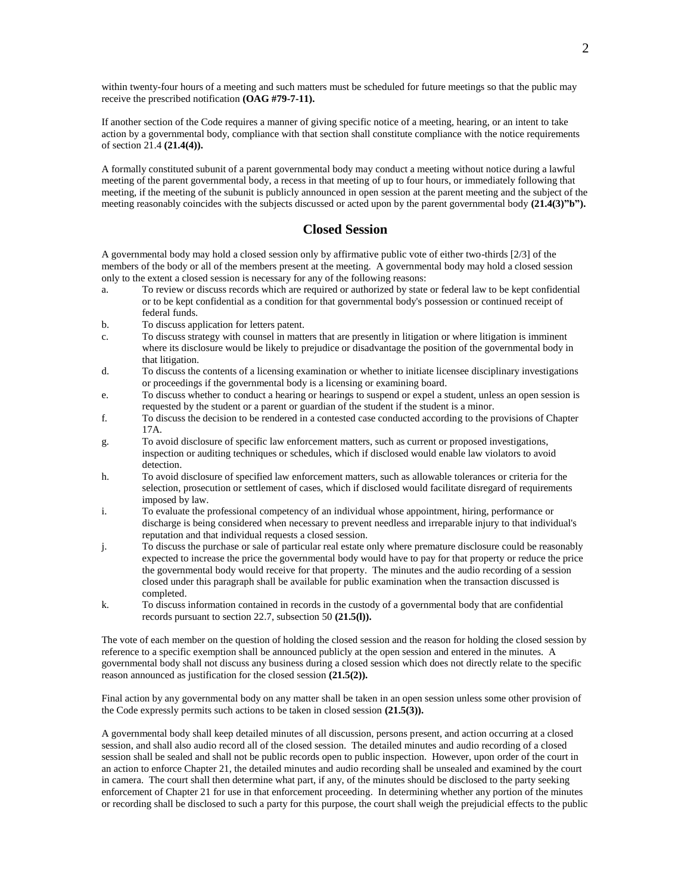within twenty-four hours of a meeting and such matters must be scheduled for future meetings so that the public may receive the prescribed notification **(OAG #79-7-11).**

If another section of the Code requires a manner of giving specific notice of a meeting, hearing, or an intent to take action by a governmental body, compliance with that section shall constitute compliance with the notice requirements of section 21.4 **(21.4(4)).**

A formally constituted subunit of a parent governmental body may conduct a meeting without notice during a lawful meeting of the parent governmental body, a recess in that meeting of up to four hours, or immediately following that meeting, if the meeting of the subunit is publicly announced in open session at the parent meeting and the subject of the meeting reasonably coincides with the subjects discussed or acted upon by the parent governmental body (21.4(3)"b").

## **Closed Session**

A governmental body may hold a closed session only by affirmative public vote of either two-thirds [2/3] of the members of the body or all of the members present at the meeting. A governmental body may hold a closed session only to the extent a closed session is necessary for any of the following reasons:

- a. To review or discuss records which are required or authorized by state or federal law to be kept confidential or to be kept confidential as a condition for that governmental body's possession or continued receipt of federal funds.
- b. To discuss application for letters patent.
- c. To discuss strategy with counsel in matters that are presently in litigation or where litigation is imminent where its disclosure would be likely to prejudice or disadvantage the position of the governmental body in that litigation.
- d. To discuss the contents of a licensing examination or whether to initiate licensee disciplinary investigations or proceedings if the governmental body is a licensing or examining board.
- e. To discuss whether to conduct a hearing or hearings to suspend or expel a student, unless an open session is requested by the student or a parent or guardian of the student if the student is a minor.
- f. To discuss the decision to be rendered in a contested case conducted according to the provisions of Chapter 17A.
- g. To avoid disclosure of specific law enforcement matters, such as current or proposed investigations, inspection or auditing techniques or schedules, which if disclosed would enable law violators to avoid detection.
- h. To avoid disclosure of specified law enforcement matters, such as allowable tolerances or criteria for the selection, prosecution or settlement of cases, which if disclosed would facilitate disregard of requirements imposed by law.
- i. To evaluate the professional competency of an individual whose appointment, hiring, performance or discharge is being considered when necessary to prevent needless and irreparable injury to that individual's reputation and that individual requests a closed session.
- j. To discuss the purchase or sale of particular real estate only where premature disclosure could be reasonably expected to increase the price the governmental body would have to pay for that property or reduce the price the governmental body would receive for that property. The minutes and the audio recording of a session closed under this paragraph shall be available for public examination when the transaction discussed is completed.
- k. To discuss information contained in records in the custody of a governmental body that are confidential records pursuant to section 22.7, subsection 50 **(21.5(l)).**

The vote of each member on the question of holding the closed session and the reason for holding the closed session by reference to a specific exemption shall be announced publicly at the open session and entered in the minutes. A governmental body shall not discuss any business during a closed session which does not directly relate to the specific reason announced as justification for the closed session **(21.5(2)).**

Final action by any governmental body on any matter shall be taken in an open session unless some other provision of the Code expressly permits such actions to be taken in closed session **(21.5(3)).**

A governmental body shall keep detailed minutes of all discussion, persons present, and action occurring at a closed session, and shall also audio record all of the closed session. The detailed minutes and audio recording of a closed session shall be sealed and shall not be public records open to public inspection. However, upon order of the court in an action to enforce Chapter 21, the detailed minutes and audio recording shall be unsealed and examined by the court in camera. The court shall then determine what part, if any, of the minutes should be disclosed to the party seeking enforcement of Chapter 21 for use in that enforcement proceeding. In determining whether any portion of the minutes or recording shall be disclosed to such a party for this purpose, the court shall weigh the prejudicial effects to the public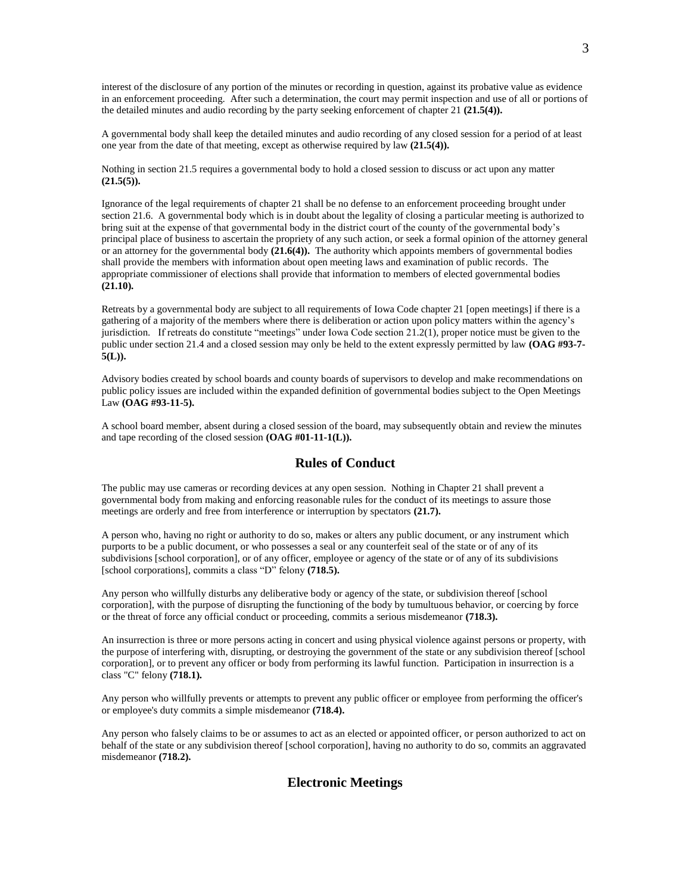interest of the disclosure of any portion of the minutes or recording in question, against its probative value as evidence in an enforcement proceeding. After such a determination, the court may permit inspection and use of all or portions of the detailed minutes and audio recording by the party seeking enforcement of chapter 21 **(21.5(4)).**

A governmental body shall keep the detailed minutes and audio recording of any closed session for a period of at least one year from the date of that meeting, except as otherwise required by law **(21.5(4)).**

Nothing in section 21.5 requires a governmental body to hold a closed session to discuss or act upon any matter **(21.5(5)).**

Ignorance of the legal requirements of chapter 21 shall be no defense to an enforcement proceeding brought under section 21.6. A governmental body which is in doubt about the legality of closing a particular meeting is authorized to bring suit at the expense of that governmental body in the district court of the county of the governmental body's principal place of business to ascertain the propriety of any such action, or seek a formal opinion of the attorney general or an attorney for the governmental body **(21.6(4)).** The authority which appoints members of governmental bodies shall provide the members with information about open meeting laws and examination of public records. The appropriate commissioner of elections shall provide that information to members of elected governmental bodies **(21.10).**

Retreats by a governmental body are subject to all requirements of Iowa Code chapter 21 [open meetings] if there is a gathering of a majority of the members where there is deliberation or action upon policy matters within the agency's jurisdiction. If retreats do constitute "meetings" under Iowa Code section 21.2(1), proper notice must be given to the public under section 21.4 and a closed session may only be held to the extent expressly permitted by law **(OAG #93-7- 5(L)).**

Advisory bodies created by school boards and county boards of supervisors to develop and make recommendations on public policy issues are included within the expanded definition of governmental bodies subject to the Open Meetings Law **(OAG #93-11-5).**

A school board member, absent during a closed session of the board, may subsequently obtain and review the minutes and tape recording of the closed session **(OAG #01-11-1(L)).**

## **Rules of Conduct**

The public may use cameras or recording devices at any open session. Nothing in Chapter 21 shall prevent a governmental body from making and enforcing reasonable rules for the conduct of its meetings to assure those meetings are orderly and free from interference or interruption by spectators **(21.7).**

A person who, having no right or authority to do so, makes or alters any public document, or any instrument which purports to be a public document, or who possesses a seal or any counterfeit seal of the state or of any of its subdivisions [school corporation], or of any officer, employee or agency of the state or of any of its subdivisions [school corporations], commits a class "D" felony **(718.5).**

Any person who willfully disturbs any deliberative body or agency of the state, or subdivision thereof [school corporation], with the purpose of disrupting the functioning of the body by tumultuous behavior, or coercing by force or the threat of force any official conduct or proceeding, commits a serious misdemeanor **(718.3).**

An insurrection is three or more persons acting in concert and using physical violence against persons or property, with the purpose of interfering with, disrupting, or destroying the government of the state or any subdivision thereof [school corporation], or to prevent any officer or body from performing its lawful function. Participation in insurrection is a class "C" felony **(718.1).**

Any person who willfully prevents or attempts to prevent any public officer or employee from performing the officer's or employee's duty commits a simple misdemeanor **(718.4).**

Any person who falsely claims to be or assumes to act as an elected or appointed officer, or person authorized to act on behalf of the state or any subdivision thereof [school corporation], having no authority to do so, commits an aggravated misdemeanor **(718.2).**

#### **Electronic Meetings**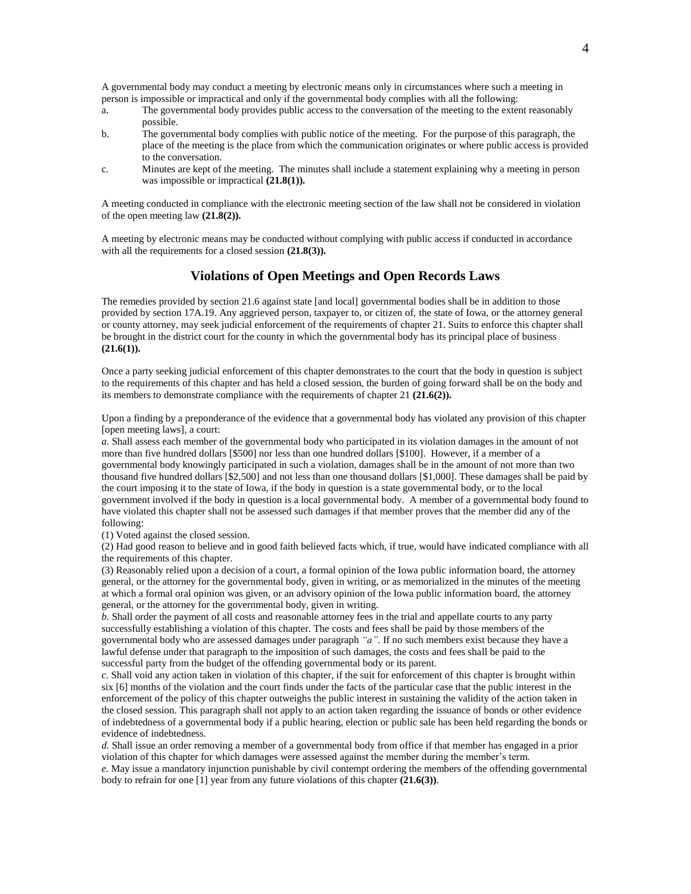A governmental body may conduct a meeting by electronic means only in circumstances where such a meeting in person is impossible or impractical and only if the governmental body complies with all the following:

- a. The governmental body provides public access to the conversation of the meeting to the extent reasonably possible.
- b. The governmental body complies with public notice of the meeting. For the purpose of this paragraph, the place of the meeting is the place from which the communication originates or where public access is provided to the conversation.
- c. Minutes are kept of the meeting. The minutes shall include a statement explaining why a meeting in person was impossible or impractical **(21.8(1)).**

A meeting conducted in compliance with the electronic meeting section of the law shall not be considered in violation of the open meeting law **(21.8(2)).**

A meeting by electronic means may be conducted without complying with public access if conducted in accordance with all the requirements for a closed session **(21.8(3)**).

## **Violations of Open Meetings and Open Records Laws**

The remedies provided by section 21.6 against state [and local] governmental bodies shall be in addition to those provided by section 17A.19. Any aggrieved person, taxpayer to, or citizen of, the state of Iowa, or the attorney general or county attorney, may seek judicial enforcement of the requirements of chapter 21. Suits to enforce this chapter shall be brought in the district court for the county in which the governmental body has its principal place of business **(21.6(1)).**

Once a party seeking judicial enforcement of this chapter demonstrates to the court that the body in question is subject to the requirements of this chapter and has held a closed session, the burden of going forward shall be on the body and its members to demonstrate compliance with the requirements of chapter 21 **(21.6(2)).**

Upon a finding by a preponderance of the evidence that a governmental body has violated any provision of this chapter [open meeting laws], a court:

*a.* Shall assess each member of the governmental body who participated in its violation damages in the amount of not more than five hundred dollars [\$500] nor less than one hundred dollars [\$100]. However, if a member of a governmental body knowingly participated in such a violation, damages shall be in the amount of not more than two thousand five hundred dollars [\$2,500] and not less than one thousand dollars [\$1,000]. These damages shall be paid by the court imposing it to the state of Iowa, if the body in question is a state governmental body, or to the local government involved if the body in question is a local governmental body. A member of a governmental body found to have violated this chapter shall not be assessed such damages if that member proves that the member did any of the following:

(1) Voted against the closed session.

(2) Had good reason to believe and in good faith believed facts which, if true, would have indicated compliance with all the requirements of this chapter.

(3) Reasonably relied upon a decision of a court, a formal opinion of the Iowa public information board, the attorney general, or the attorney for the governmental body, given in writing, or as memorialized in the minutes of the meeting at which a formal oral opinion was given, or an advisory opinion of the Iowa public information board, the attorney general, or the attorney for the governmental body, given in writing.

*b.* Shall order the payment of all costs and reasonable attorney fees in the trial and appellate courts to any party successfully establishing a violation of this chapter. The costs and fees shall be paid by those members of the governmental body who are assessed damages under paragraph *"a"*. If no such members exist because they have a lawful defense under that paragraph to the imposition of such damages, the costs and fees shall be paid to the successful party from the budget of the offending governmental body or its parent.

*c.* Shall void any action taken in violation of this chapter, if the suit for enforcement of this chapter is brought within six [6] months of the violation and the court finds under the facts of the particular case that the public interest in the enforcement of the policy of this chapter outweighs the public interest in sustaining the validity of the action taken in the closed session. This paragraph shall not apply to an action taken regarding the issuance of bonds or other evidence of indebtedness of a governmental body if a public hearing, election or public sale has been held regarding the bonds or evidence of indebtedness.

*d.* Shall issue an order removing a member of a governmental body from office if that member has engaged in a prior violation of this chapter for which damages were assessed against the member during the member's term.

*e.* May issue a mandatory injunction punishable by civil contempt ordering the members of the offending governmental body to refrain for one [1] year from any future violations of this chapter **(21.6(3))**.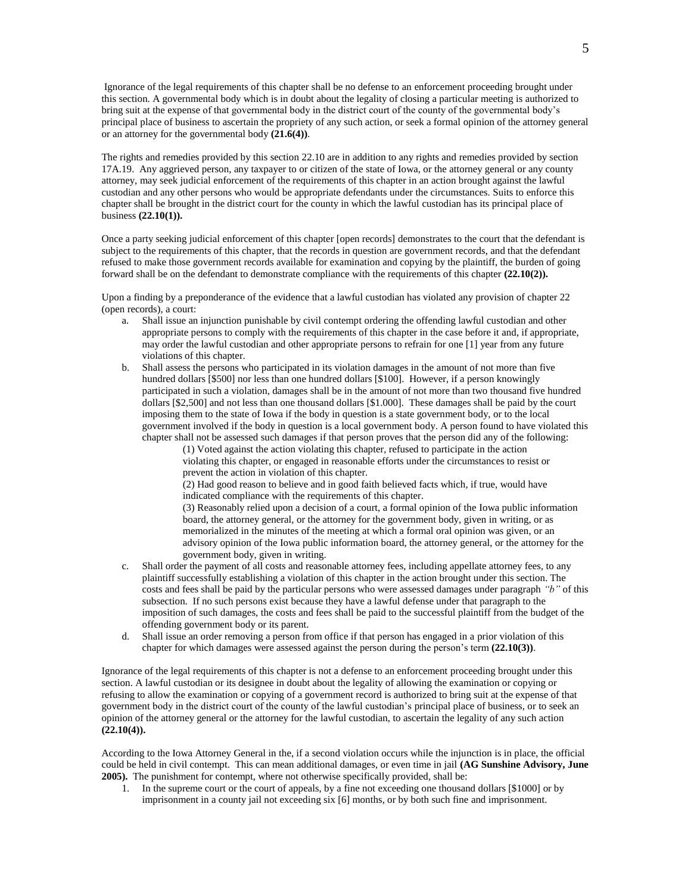Ignorance of the legal requirements of this chapter shall be no defense to an enforcement proceeding brought under this section. A governmental body which is in doubt about the legality of closing a particular meeting is authorized to bring suit at the expense of that governmental body in the district court of the county of the governmental body's principal place of business to ascertain the propriety of any such action, or seek a formal opinion of the attorney general or an attorney for the governmental body **(21.6(4))**.

The rights and remedies provided by this section 22.10 are in addition to any rights and remedies provided by section 17A.19. Any aggrieved person, any taxpayer to or citizen of the state of Iowa, or the attorney general or any county attorney, may seek judicial enforcement of the requirements of this chapter in an action brought against the lawful custodian and any other persons who would be appropriate defendants under the circumstances. Suits to enforce this chapter shall be brought in the district court for the county in which the lawful custodian has its principal place of business **(22.10(1)).**

Once a party seeking judicial enforcement of this chapter [open records] demonstrates to the court that the defendant is subject to the requirements of this chapter, that the records in question are government records, and that the defendant refused to make those government records available for examination and copying by the plaintiff, the burden of going forward shall be on the defendant to demonstrate compliance with the requirements of this chapter **(22.10(2)).**

Upon a finding by a preponderance of the evidence that a lawful custodian has violated any provision of chapter 22 (open records), a court:

- a. Shall issue an injunction punishable by civil contempt ordering the offending lawful custodian and other appropriate persons to comply with the requirements of this chapter in the case before it and, if appropriate, may order the lawful custodian and other appropriate persons to refrain for one [1] year from any future violations of this chapter.
- b. Shall assess the persons who participated in its violation damages in the amount of not more than five hundred dollars [\$500] nor less than one hundred dollars [\$100]. However, if a person knowingly participated in such a violation, damages shall be in the amount of not more than two thousand five hundred dollars [\$2,500] and not less than one thousand dollars [\$1.000]. These damages shall be paid by the court imposing them to the state of Iowa if the body in question is a state government body, or to the local government involved if the body in question is a local government body. A person found to have violated this chapter shall not be assessed such damages if that person proves that the person did any of the following:

(1) Voted against the action violating this chapter, refused to participate in the action violating this chapter, or engaged in reasonable efforts under the circumstances to resist or prevent the action in violation of this chapter.

(2) Had good reason to believe and in good faith believed facts which, if true, would have indicated compliance with the requirements of this chapter.

(3) Reasonably relied upon a decision of a court, a formal opinion of the Iowa public information board, the attorney general, or the attorney for the government body, given in writing, or as memorialized in the minutes of the meeting at which a formal oral opinion was given, or an advisory opinion of the Iowa public information board, the attorney general, or the attorney for the government body, given in writing.

- c. Shall order the payment of all costs and reasonable attorney fees, including appellate attorney fees, to any plaintiff successfully establishing a violation of this chapter in the action brought under this section. The costs and fees shall be paid by the particular persons who were assessed damages under paragraph *"b"* of this subsection. If no such persons exist because they have a lawful defense under that paragraph to the imposition of such damages, the costs and fees shall be paid to the successful plaintiff from the budget of the offending government body or its parent.
- d. Shall issue an order removing a person from office if that person has engaged in a prior violation of this chapter for which damages were assessed against the person during the person's term **(22.10(3))**.

Ignorance of the legal requirements of this chapter is not a defense to an enforcement proceeding brought under this section. A lawful custodian or its designee in doubt about the legality of allowing the examination or copying or refusing to allow the examination or copying of a government record is authorized to bring suit at the expense of that government body in the district court of the county of the lawful custodian's principal place of business, or to seek an opinion of the attorney general or the attorney for the lawful custodian, to ascertain the legality of any such action **(22.10(4)).**

According to the Iowa Attorney General in the, if a second violation occurs while the injunction is in place, the official could be held in civil contempt. This can mean additional damages, or even time in jail **(AG Sunshine Advisory, June 2005).** The punishment for contempt, where not otherwise specifically provided, shall be:

1. In the supreme court or the court of appeals, by a fine not exceeding one thousand dollars [\$1000] or by imprisonment in a county jail not exceeding six [6] months, or by both such fine and imprisonment.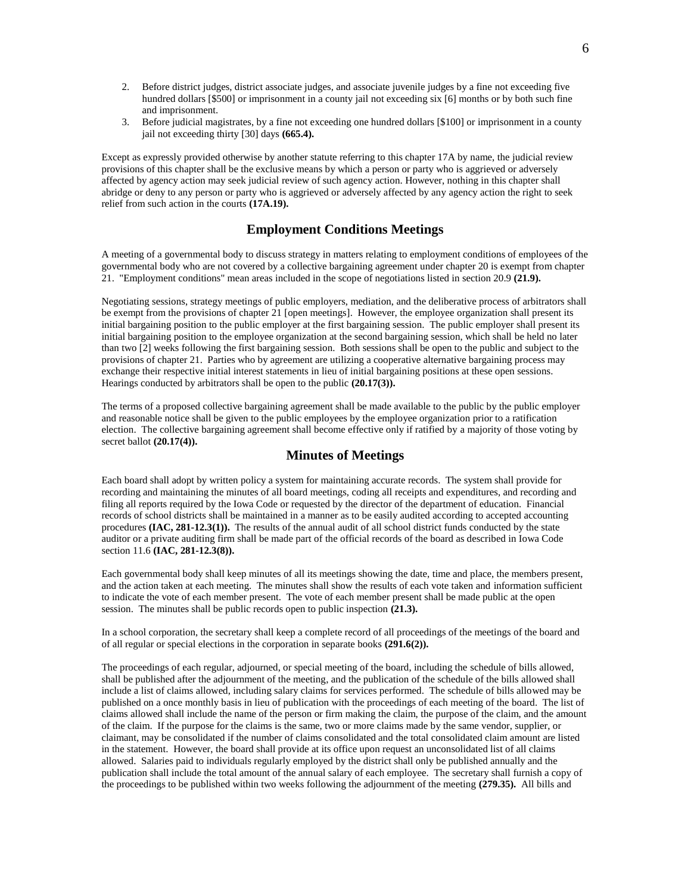- 2. Before district judges, district associate judges, and associate juvenile judges by a fine not exceeding five hundred dollars [\$500] or imprisonment in a county jail not exceeding six [6] months or by both such fine and imprisonment.
- 3. Before judicial magistrates, by a fine not exceeding one hundred dollars [\$100] or imprisonment in a county jail not exceeding thirty [30] days **(665.4).**

Except as expressly provided otherwise by another statute referring to this chapter 17A by name, the judicial review provisions of this chapter shall be the exclusive means by which a person or party who is aggrieved or adversely affected by agency action may seek judicial review of such agency action. However, nothing in this chapter shall abridge or deny to any person or party who is aggrieved or adversely affected by any agency action the right to seek relief from such action in the courts **(17A.19).**

# **Employment Conditions Meetings**

A meeting of a governmental body to discuss strategy in matters relating to employment conditions of employees of the governmental body who are not covered by a collective bargaining agreement under chapter 20 is exempt from chapter 21. "Employment conditions" mean areas included in the scope of negotiations listed in section 20.9 **(21.9).**

Negotiating sessions, strategy meetings of public employers, mediation, and the deliberative process of arbitrators shall be exempt from the provisions of chapter 21 [open meetings]. However, the employee organization shall present its initial bargaining position to the public employer at the first bargaining session. The public employer shall present its initial bargaining position to the employee organization at the second bargaining session, which shall be held no later than two [2] weeks following the first bargaining session. Both sessions shall be open to the public and subject to the provisions of chapter 21. Parties who by agreement are utilizing a cooperative alternative bargaining process may exchange their respective initial interest statements in lieu of initial bargaining positions at these open sessions. Hearings conducted by arbitrators shall be open to the public **(20.17(3)).**

The terms of a proposed collective bargaining agreement shall be made available to the public by the public employer and reasonable notice shall be given to the public employees by the employee organization prior to a ratification election. The collective bargaining agreement shall become effective only if ratified by a majority of those voting by secret ballot **(20.17(4)).**

#### **Minutes of Meetings**

Each board shall adopt by written policy a system for maintaining accurate records. The system shall provide for recording and maintaining the minutes of all board meetings, coding all receipts and expenditures, and recording and filing all reports required by the Iowa Code or requested by the director of the department of education. Financial records of school districts shall be maintained in a manner as to be easily audited according to accepted accounting procedures **(IAC, 281-12.3(1)).** The results of the annual audit of all school district funds conducted by the state auditor or a private auditing firm shall be made part of the official records of the board as described in Iowa Code section 11.6 **(IAC, 281-12.3(8)).**

Each governmental body shall keep minutes of all its meetings showing the date, time and place, the members present, and the action taken at each meeting. The minutes shall show the results of each vote taken and information sufficient to indicate the vote of each member present. The vote of each member present shall be made public at the open session. The minutes shall be public records open to public inspection **(21.3).**

In a school corporation, the secretary shall keep a complete record of all proceedings of the meetings of the board and of all regular or special elections in the corporation in separate books **(291.6(2)).**

The proceedings of each regular, adjourned, or special meeting of the board, including the schedule of bills allowed, shall be published after the adjournment of the meeting, and the publication of the schedule of the bills allowed shall include a list of claims allowed, including salary claims for services performed. The schedule of bills allowed may be published on a once monthly basis in lieu of publication with the proceedings of each meeting of the board. The list of claims allowed shall include the name of the person or firm making the claim, the purpose of the claim, and the amount of the claim. If the purpose for the claims is the same, two or more claims made by the same vendor, supplier, or claimant, may be consolidated if the number of claims consolidated and the total consolidated claim amount are listed in the statement. However, the board shall provide at its office upon request an unconsolidated list of all claims allowed. Salaries paid to individuals regularly employed by the district shall only be published annually and the publication shall include the total amount of the annual salary of each employee. The secretary shall furnish a copy of the proceedings to be published within two weeks following the adjournment of the meeting **(279.35).** All bills and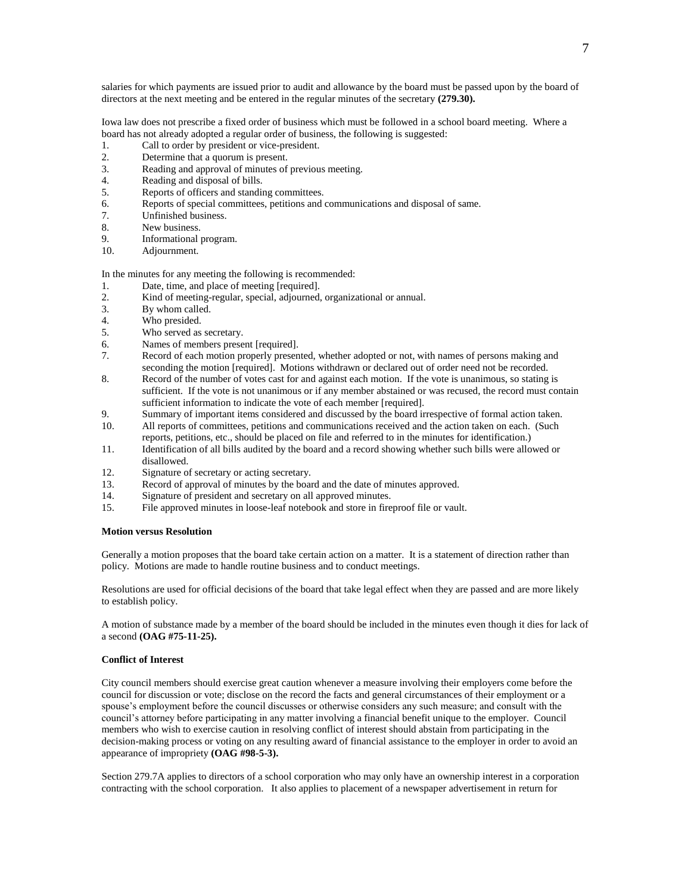salaries for which payments are issued prior to audit and allowance by the board must be passed upon by the board of directors at the next meeting and be entered in the regular minutes of the secretary **(279.30).**

Iowa law does not prescribe a fixed order of business which must be followed in a school board meeting. Where a board has not already adopted a regular order of business, the following is suggested:

- 1. Call to order by president or vice-president.
- 2. Determine that a quorum is present.
- 3. Reading and approval of minutes of previous meeting.
- 4. Reading and disposal of bills.
- 5. Reports of officers and standing committees.
- 6. Reports of special committees, petitions and communications and disposal of same.
- 7. Unfinished business.
- 8. New business.
- 9. Informational program.
- 10. Adjournment.

In the minutes for any meeting the following is recommended:

- 1. Date, time, and place of meeting [required].
- 2. Kind of meeting-regular, special, adjourned, organizational or annual.
- 3. By whom called.
- 4. Who presided.
- 5. Who served as secretary.
- 6. Names of members present [required].
- 7. Record of each motion properly presented, whether adopted or not, with names of persons making and seconding the motion [required]. Motions withdrawn or declared out of order need not be recorded.
- 8. Record of the number of votes cast for and against each motion. If the vote is unanimous, so stating is sufficient. If the vote is not unanimous or if any member abstained or was recused, the record must contain sufficient information to indicate the vote of each member [required].
- 9. Summary of important items considered and discussed by the board irrespective of formal action taken.
- 10. All reports of committees, petitions and communications received and the action taken on each. (Such reports, petitions, etc., should be placed on file and referred to in the minutes for identification.)
- 11. Identification of all bills audited by the board and a record showing whether such bills were allowed or disallowed.
- 12. Signature of secretary or acting secretary.
- 13. Record of approval of minutes by the board and the date of minutes approved.
- 14. Signature of president and secretary on all approved minutes.
- 15. File approved minutes in loose-leaf notebook and store in fireproof file or vault.

#### **Motion versus Resolution**

Generally a motion proposes that the board take certain action on a matter. It is a statement of direction rather than policy. Motions are made to handle routine business and to conduct meetings.

Resolutions are used for official decisions of the board that take legal effect when they are passed and are more likely to establish policy.

A motion of substance made by a member of the board should be included in the minutes even though it dies for lack of a second **(OAG #75-11-25).**

#### **Conflict of Interest**

City council members should exercise great caution whenever a measure involving their employers come before the council for discussion or vote; disclose on the record the facts and general circumstances of their employment or a spouse's employment before the council discusses or otherwise considers any such measure; and consult with the council's attorney before participating in any matter involving a financial benefit unique to the employer. Council members who wish to exercise caution in resolving conflict of interest should abstain from participating in the decision-making process or voting on any resulting award of financial assistance to the employer in order to avoid an appearance of impropriety **(OAG #98-5-3).**

Section 279.7A applies to directors of a school corporation who may only have an ownership interest in a corporation contracting with the school corporation. It also applies to placement of a newspaper advertisement in return for